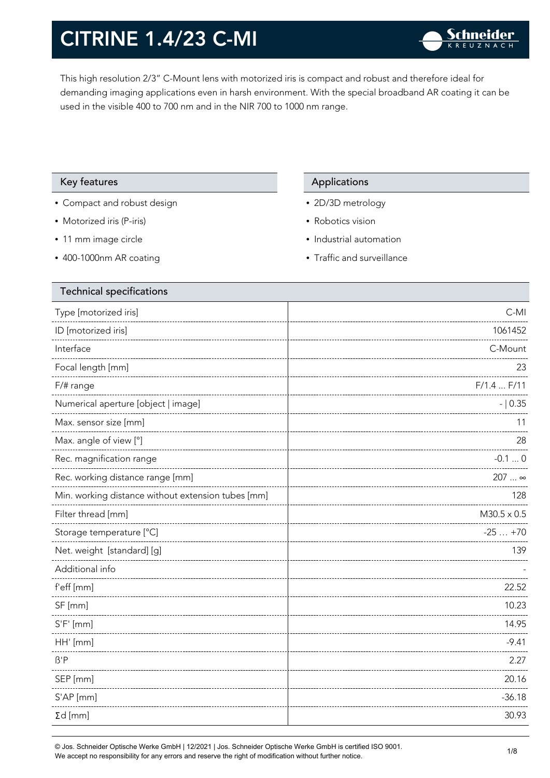This high resolution 2/3" C-Mount lens with motorized iris is compact and robust and therefore ideal for demanding imaging applications even in harsh environment. With the special broadband AR coating it can be used in the visible 400 to 700 nm and in the NIR 700 to 1000 nm range.

#### Key features **Applications** Applications

- Compact and robust design
- Motorized iris (P-iris)
- 11 mm image circle
- 400-1000nm AR coating

- 2D/3D metrology
- Robotics vision
- Industrial automation
- Traffic and surveillance

| <b>Technical specifications</b>                    |                    |
|----------------------------------------------------|--------------------|
| Type [motorized iris]                              | C-MI               |
| ID [motorized iris]                                | 1061452            |
| Interface                                          | C-Mount            |
| Focal length [mm]                                  | 23                 |
| $F/\#$ range                                       | $F/1.4$ $F/11$     |
| Numerical aperture [object   image]                | $- 0.35$           |
| Max. sensor size [mm]                              | 11                 |
| Max. angle of view [°]                             | 28                 |
| Rec. magnification range                           | $-0.10$            |
| Rec. working distance range [mm]                   | 207  ∞             |
| Min. working distance without extension tubes [mm] | 128                |
| Filter thread [mm]                                 | $M30.5 \times 0.5$ |
| Storage temperature [°C]                           | $-25+70$           |
| Net. weight [standard] [g]                         | 139                |
| Additional info                                    |                    |
| f'eff [mm]                                         | 22.52              |
| SF [mm]                                            | 10.23              |
| $S'F'$ [mm]                                        | 14.95              |
| HH' [mm]                                           | $-9.41$            |
| $\beta$ 'P                                         | 2.27               |
| SEP [mm]                                           | 20.16              |
| S'AP [mm]                                          | $-36.18$           |
| $\Sigma d$ [mm]                                    | 30.93              |
|                                                    |                    |

© Jos. Schneider Optische Werke GmbH | 12/2021 | Jos. Schneider Optische Werke GmbH is certified ISO 9001. We accept no responsibility for any errors and reserve the right of modification without further notice.<br>We accept no responsibility for any errors and reserve the right of modification without further notice.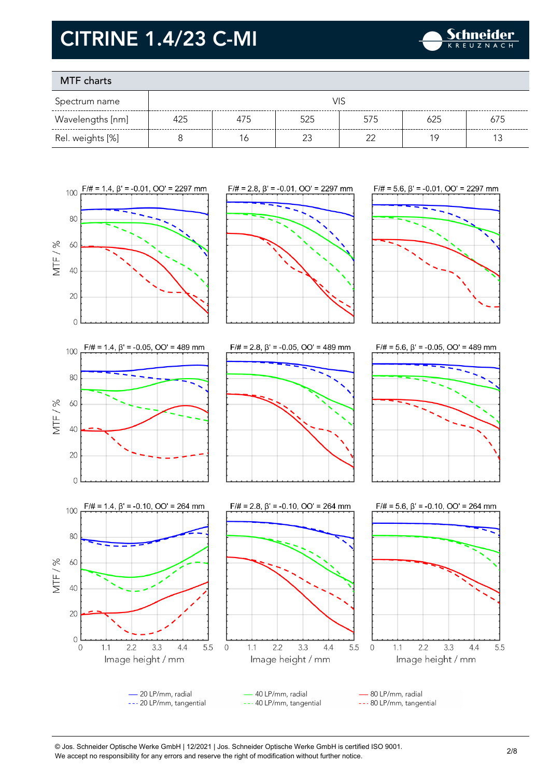

### MTF charts

| Spectrum name    |     |     |        |        |     |     |
|------------------|-----|-----|--------|--------|-----|-----|
| Wavelengths [nm] | 425 | 475 | 525    | 575    | 625 | 675 |
| Rel. weights [%] |     | 6   | $\sim$ | $\sim$ | 1 C |     |



© Jos. Schneider Optische Werke GmbH | 12/2021 | Jos. Schneider Optische Werke GmbH is certified ISO 9001. We accept no responsibility for any errors and reserve the right of modification without further notice.<br>We accept no responsibility for any errors and reserve the right of modification without further notice.

 $4.4$ 

5.5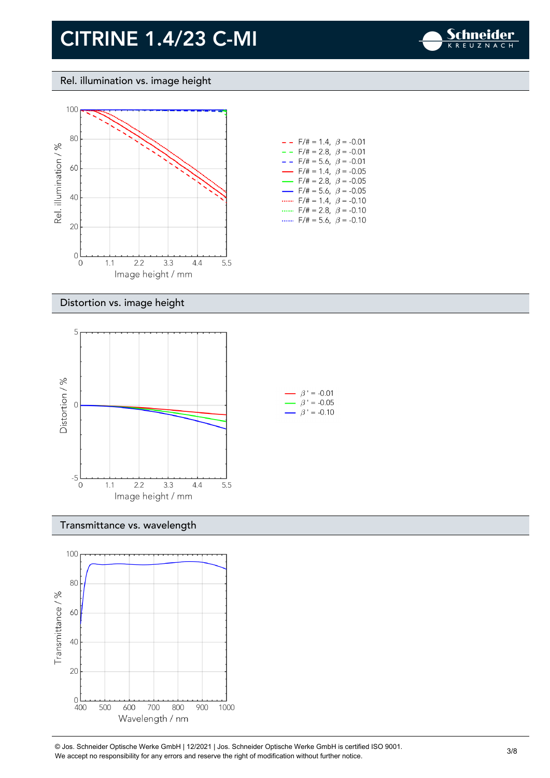

#### Rel. illumination vs. image height



| - -                      | $F/\ddot{}=1.4, \beta = -0.01$          |  |
|--------------------------|-----------------------------------------|--|
| $- -$                    | F/# = 2.8, $\beta$ = -0.01              |  |
| - -                      | F/# = 5.6, $\beta$ = -0.01              |  |
| $\overline{\phantom{0}}$ | $F/\ddot{}=1.4, \beta = -0.05$          |  |
| $\overline{\phantom{0}}$ | $F/\ddot{\pi} = 2.8, \ \ \beta = -0.05$ |  |
| $\overline{\phantom{0}}$ | $F/\ddot{\pi} = 5.6, \ \ \beta = -0.05$ |  |
|                          | $F/\ddot{\pi} = 1.4, \; \beta = -0.10$  |  |
| .                        | $F/\ddot{=} = 2.8, \ \ \beta = -0.10$   |  |
|                          | $F/\ddot{=} = 5.6, \ \beta = -0.10$     |  |

#### Distortion vs. image height



#### Transmittance vs. wavelength



© Jos. Schneider Optische Werke GmbH | 12/2021 | Jos. Schneider Optische Werke GmbH is certified ISO 9001. We Jos. Scrinelaer Opuscrie werke GribH | 12/2021 | Jos. Scrinelaer Opuscrie werke GribH is certified ISO 9001.<br>We accept no responsibility for any errors and reserve the right of modification without further notice.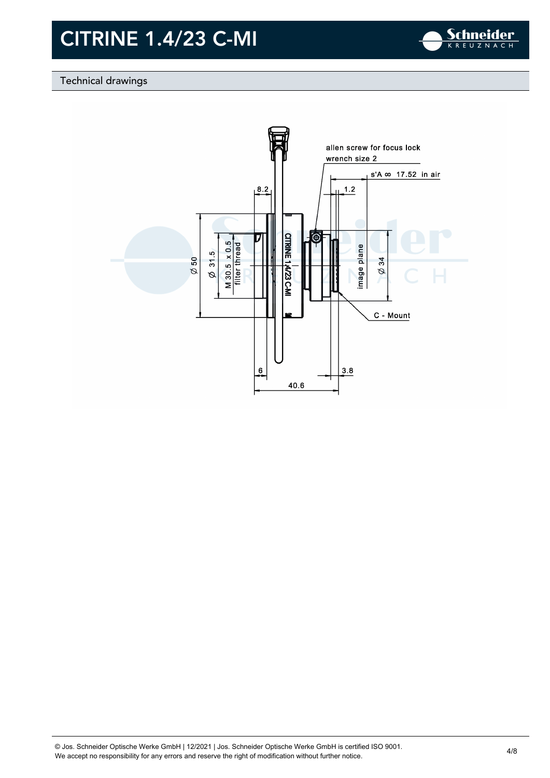

### Technical drawings

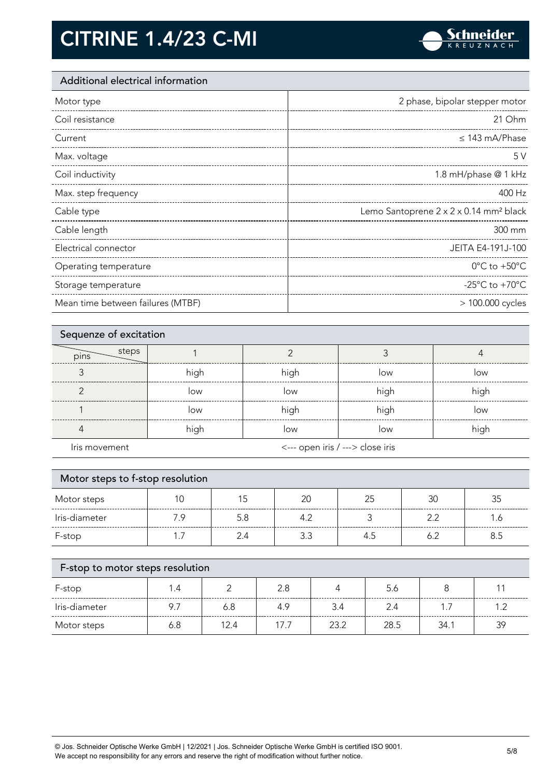

### Additional electrical information

| Motor type            | 2 phase, bipolar stepper motor                     |
|-----------------------|----------------------------------------------------|
| Coil resistance       | 21 Ohm                                             |
| Current               | $\leq$ 143 mA/Phase                                |
| Max. voltage          | 5V                                                 |
| Coil inductivity      | 1.8 mH/phase @ 1 kHz                               |
| Max. step frequency   | 400 Hz                                             |
|                       |                                                    |
| Cable type            | Lemo Santoprene 2 x 2 x 0.14 mm <sup>2</sup> black |
| Cable length          | 300 mm                                             |
| Electrical connector  | JEITA E4-191J-100                                  |
| Operating temperature | $0^{\circ}$ C to +50 $^{\circ}$ C                  |
| Storage temperature   | -25 $^{\circ}$ C to +70 $^{\circ}$ C               |

| Sequenze of excitation |      |                                  |      |      |
|------------------------|------|----------------------------------|------|------|
| steps<br>pins          |      |                                  |      |      |
|                        | high | high                             | low  | low  |
|                        | low  | low                              | high | high |
|                        | low  | high                             | high | low  |
|                        | high | low                              | low  | high |
| Iris movement          |      | <--- open iris / ---> close iris |      |      |

| Motor steps to f-stop resolution |     |     |     |    |     |     |
|----------------------------------|-----|-----|-----|----|-----|-----|
| Motor steps                      |     | 5   | 20  | 25 | 30  | 35  |
| Iris-diameter                    | 7.9 | 5.8 | 4.2 |    | 22  | .6  |
| F-stop                           |     | 2.4 | 3.3 |    | 6.2 | 8.5 |
|                                  |     |     |     |    |     |     |

| F-stop to motor steps resolution |     |      |      |      |      |      |     |
|----------------------------------|-----|------|------|------|------|------|-----|
| F-stop                           | 1.4 |      | 2.8  |      | 5.6  |      |     |
| Iris-diameter                    | 9.7 | 6.8  | 4.9  | 3.4  | 2.4  |      |     |
| Motor steps                      | 6.8 | 12.4 | 17.7 | 23.2 | 28.5 | 34.1 | -39 |

© Jos. Schneider Optische Werke GmbH | 12/2021 | Jos. Schneider Optische Werke GmbH is certified ISO 9001. We accept no responsibility for any errors and reserve the right of modification without further notice. 5/8<br>We accept no responsibility for any errors and reserve the right of modification without further notice.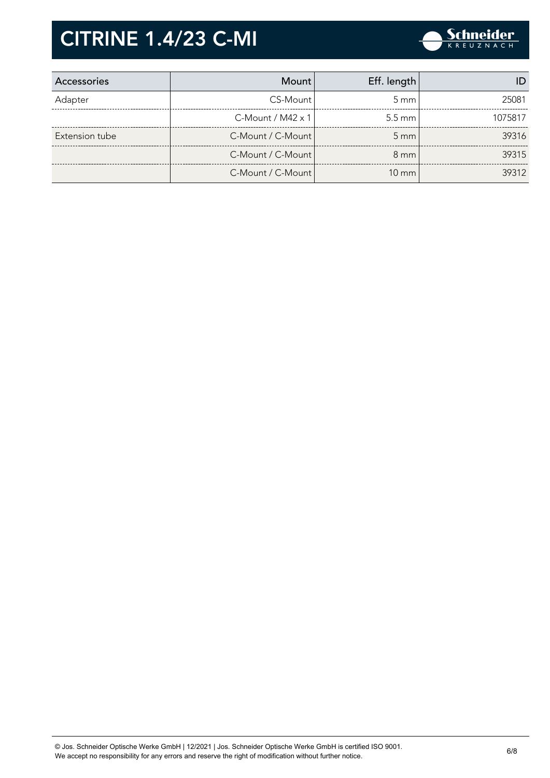

| Accessories    | Mount l                     | Eff. length        |         |
|----------------|-----------------------------|--------------------|---------|
| Adapter        | CS-Mount                    | $5 \text{ mm}$     | 25081   |
|                | $C$ -Mount / M42 $\times$ 1 | $5.5 \text{ mm}$   | 1075817 |
| Extension tube | C-Mount / C-Mount           | $5 \, \mathrm{mm}$ | 39316   |
|                | C-Mount / C-Mount           | $8 \text{ mm}$     | 39315   |
|                | C-Mount / C-Mount           | $10 \text{ mm}$    | 39312   |